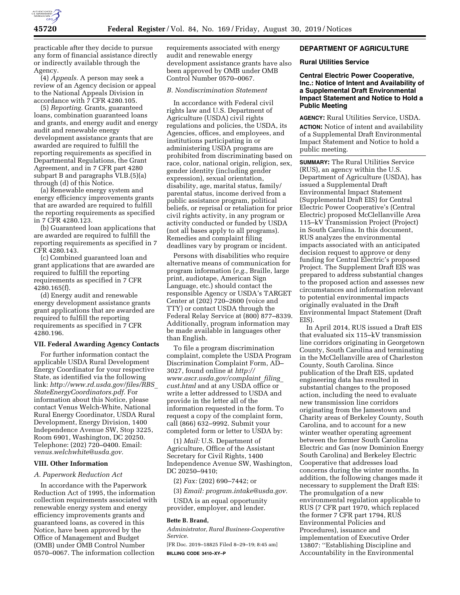

practicable after they decide to pursue any form of financial assistance directly or indirectly available through the Agency.

(4) *Appeals.* A person may seek a review of an Agency decision or appeal to the National Appeals Division in accordance with 7 CFR 4280.105.

(5) *Reporting.* Grants, guaranteed loans, combination guaranteed loans and grants, and energy audit and energy audit and renewable energy development assistance grants that are awarded are required to fulfill the reporting requirements as specified in Departmental Regulations, the Grant Agreement, and in 7 CFR part 4280 subpart B and paragraphs VI.B.(5)(a) through (d) of this Notice.

(a) Renewable energy system and energy efficiency improvements grants that are awarded are required to fulfill the reporting requirements as specified in 7 CFR 4280.123.

(b) Guaranteed loan applications that are awarded are required to fulfill the reporting requirements as specified in 7 CFR 4280.143.

(c) Combined guaranteed loan and grant applications that are awarded are required to fulfill the reporting requirements as specified in 7 CFR 4280.165(f).

(d) Energy audit and renewable energy development assistance grants grant applications that are awarded are required to fulfill the reporting requirements as specified in 7 CFR 4280.196.

#### **VII. Federal Awarding Agency Contacts**

For further information contact the applicable USDA Rural Development Energy Coordinator for your respective State, as identified via the following link: *[http://www.rd.usda.gov/files/RBS](http://www.rd.usda.gov/files/RBS_StateEnergyCoordinators.pdf)*\_ *[StateEnergyCoordinators.pdf.](http://www.rd.usda.gov/files/RBS_StateEnergyCoordinators.pdf)* For information about this Notice, please contact Venus Welch-White, National Rural Energy Coordinator, USDA Rural Development, Energy Division, 1400 Independence Avenue SW, Stop 3225, Room 6901, Washington, DC 20250. Telephone: (202) 720–0400. Email: *[venus.welchwhite@usda.gov.](mailto:venus.welchwhite@usda.gov)* 

## **VIII. Other Information**

#### *A. Paperwork Reduction Act*

In accordance with the Paperwork Reduction Act of 1995, the information collection requirements associated with renewable energy system and energy efficiency improvements grants and guaranteed loans, as covered in this Notice, have been approved by the Office of Management and Budget (OMB) under OMB Control Number 0570–0067. The information collection

requirements associated with energy audit and renewable energy development assistance grants have also been approved by OMB under OMB Control Number 0570–0067.

### *B. Nondiscrimination Statement*

In accordance with Federal civil rights law and U.S. Department of Agriculture (USDA) civil rights regulations and policies, the USDA, its Agencies, offices, and employees, and institutions participating in or administering USDA programs are prohibited from discriminating based on race, color, national origin, religion, sex, gender identity (including gender expression), sexual orientation, disability, age, marital status, family/ parental status, income derived from a public assistance program, political beliefs, or reprisal or retaliation for prior civil rights activity, in any program or activity conducted or funded by USDA (not all bases apply to all programs). Remedies and complaint filing deadlines vary by program or incident.

Persons with disabilities who require alternative means of communication for program information (*e.g.,* Braille, large print, audiotape, American Sign Language, etc.) should contact the responsible Agency or USDA's TARGET Center at (202) 720–2600 (voice and TTY) or contact USDA through the Federal Relay Service at (800) 877–8339. Additionally, program information may be made available in languages other than English.

To file a program discrimination complaint, complete the USDA Program Discrimination Complaint Form, AD– 3027, found online at *[http://](http://www.ascr.usda.gov/complaint_filing_cust.html) [www.ascr.usda.gov/complaint](http://www.ascr.usda.gov/complaint_filing_cust.html)*\_*filing*\_ *[cust.html](http://www.ascr.usda.gov/complaint_filing_cust.html)* and at any USDA office or write a letter addressed to USDA and provide in the letter all of the information requested in the form. To request a copy of the complaint form, call (866) 632–9992. Submit your completed form or letter to USDA by:

(1) *Mail:* U.S. Department of Agriculture, Office of the Assistant Secretary for Civil Rights, 1400 Independence Avenue SW, Washington, DC 20250–9410;

(2) *Fax:* (202) 690–7442; or

(3) *Email: [program.intake@usda.gov.](mailto:program.intake@usda.gov)* 

USDA is an equal opportunity provider, employer, and lender.

### **Bette B. Brand,**

*Administrator, Rural Business-Cooperative Service.* 

[FR Doc. 2019–18825 Filed 8–29–19; 8:45 am] **BILLING CODE 3410–XY–P** 

## **DEPARTMENT OF AGRICULTURE**

### **Rural Utilities Service**

**Central Electric Power Cooperative, Inc.: Notice of Intent and Availability of a Supplemental Draft Environmental Impact Statement and Notice to Hold a Public Meeting** 

**AGENCY:** Rural Utilities Service, USDA. **ACTION:** Notice of intent and availability of a Supplemental Draft Environmental Impact Statement and Notice to hold a public meeting.

**SUMMARY:** The Rural Utilities Service (RUS), an agency within the U.S. Department of Agriculture (USDA), has issued a Supplemental Draft Environmental Impact Statement (Supplemental Draft EIS) for Central Electric Power Cooperative's (Central Electric) proposed McClellanville Area 115–kV Transmission Project (Project) in South Carolina. In this document, RUS analyzes the environmental impacts associated with an anticipated decision request to approve or deny funding for Central Electric's proposed Project. The Supplement Draft EIS was prepared to address substantial changes to the proposed action and assesses new circumstances and information relevant to potential environmental impacts originally evaluated in the Draft Environmental Impact Statement (Draft EIS).

In April 2014, RUS issued a Draft EIS that evaluated six 115–kV transmission line corridors originating in Georgetown County, South Carolina and terminating in the McClellanville area of Charleston County, South Carolina. Since publication of the Draft EIS, updated engineering data has resulted in substantial changes to the proposed action, including the need to evaluate new transmission line corridors originating from the Jamestown and Charity areas of Berkeley County, South Carolina, and to account for a new winter weather operating agreement between the former South Carolina Electric and Gas (now Dominion Energy South Carolina) and Berkeley Electric Cooperative that addresses load concerns during the winter months. In addition, the following changes made it necessary to supplement the Draft EIS: The promulgation of a new environmental regulation applicable to RUS (7 CFR part 1970, which replaced the former 7 CFR part 1794, RUS Environmental Policies and Procedures), issuance and implementation of Executive Order 13807: ''Establishing Discipline and Accountability in the Environmental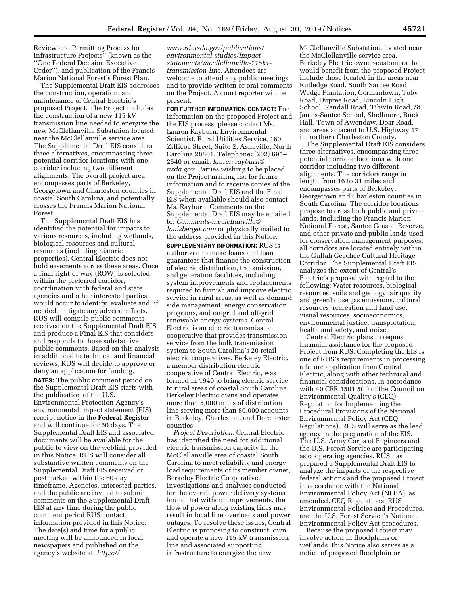Review and Permitting Process for Infrastructure Projects'' (known as the ''One Federal Decision Executive Order''), and publication of the Francis Marion National Forest's Forest Plan.

The Supplemental Draft EIS addresses the construction, operation, and maintenance of Central Electric's proposed Project. The Project includes the construction of a new 115 kV transmission line needed to energize the new McClellanville Substation located near the McClellanville service area. The Supplemental Draft EIS considers three alternatives, encompassing three potential corridor locations with one corridor including two different alignments. The overall project area encompasses parts of Berkeley, Georgetown and Charleston counties in coastal South Carolina, and potentially crosses the Francis Marion National Forest.

The Supplemental Draft EIS has identified the potential for impacts to various resources, including wetlands, biological resources and cultural resources (including historic properties). Central Electric does not hold easements across these areas. Once a final right-of-way (ROW) is selected within the preferred corridor, coordination with federal and state agencies and other interested parties would occur to identify, evaluate and, if needed, mitigate any adverse effects. RUS will compile public comments received on the Supplemental Draft EIS and produce a Final EIS that considers and responds to those substantive public comments. Based on this analysis in additional to technical and financial reviews, RUS will decide to approve or deny an application for funding. **DATES:** The public comment period on the Supplemental Draft EIS starts with

the publication of the U.S. Environmental Protection Agency's environmental impact statement (EIS) receipt notice in the **Federal Register**  and will continue for 60 days. The Supplemental Draft EIS and associated documents will be available for the public to view on the weblink provided in this Notice. RUS will consider all substantive written comments on the Supplemental Draft EIS received or postmarked within the 60-day timeframe. Agencies, interested parties, and the public are invited to submit comments on the Supplemental Draft EIS at any time during the public comment period RUS contact information provided in this Notice. The date(s) and time for a public meeting will be announced in local newspapers and published on the agency's website at: *[https://](https://www.rd.usda.gov/publications/environmental-studies/impact-statements/mccllellanville-115kv-transmission-line)*

*[www.rd.usda.gov/publications/](https://www.rd.usda.gov/publications/environmental-studies/impact-statements/mccllellanville-115kv-transmission-line)  [environmental-studies/impact](https://www.rd.usda.gov/publications/environmental-studies/impact-statements/mccllellanville-115kv-transmission-line)[statements/mccllellanville-115kv](https://www.rd.usda.gov/publications/environmental-studies/impact-statements/mccllellanville-115kv-transmission-line)[transmission-line.](https://www.rd.usda.gov/publications/environmental-studies/impact-statements/mccllellanville-115kv-transmission-line)* Attendees are welcome to attend any public meetings and to provide written or oral comments on the Project. A court reporter will be present.

**FOR FURTHER INFORMATION CONTACT:** For information on the proposed Project and the EIS process, please contact Ms. Lauren Rayburn, Environmental Scientist, Rural Utilities Service, 160 Zillicoa Street, Suite 2, Asheville, North Carolina 28801, Telephone: (202) 695– 2540 or email: *[lauren.rayburn@](mailto:lauren.rayburn@usda.gov) [usda.gov.](mailto:lauren.rayburn@usda.gov)* Parties wishing to be placed on the Project mailing list for future information and to receive copies of the Supplemental Draft EIS and the Final EIS when available should also contact Ms. Rayburn. Comments on the Supplemental Draft EIS may be emailed to: *[Comments-mcclellanville@](mailto:Comments-mcclellanville@louisberger.com) [louisberger.com](mailto:Comments-mcclellanville@louisberger.com)* or physically mailed to the address provided in this Notice.

**SUPPLEMENTARY INFORMATION:** RUS is authorized to make loans and loan guarantees that finance the construction of electric distribution, transmission, and generation facilities, including system improvements and replacements required to furnish and improve electric service in rural areas, as well as demand side management, energy conservation programs, and on-grid and off-grid renewable energy systems. Central Electric is an electric transmission cooperative that provides transmission service from the bulk transmission system to South Carolina's 20 retail electric cooperatives. Berkeley Electric, a member distribution electric cooperative of Central Electric, was formed in 1940 to bring electric service to rural areas of coastal South Carolina. Berkeley Electric owns and operates more than 5,000 miles of distribution line serving more than 80,000 accounts in Berkeley, Charleston, and Dorchester counties.

*Project Description:* Central Electric has identified the need for additional electric transmission capacity in the McClellanville area of coastal South Carolina to meet reliability and energy load requirements of its member owner, Berkeley Electric Cooperative. Investigations and analyses conducted for the overall power delivery systems found that without improvements, the flow of power along existing lines may result in local line overloads and power outages. To resolve these issues, Central Electric is proposing to construct, own and operate a new 115-kV transmission line and associated supporting infrastructure to energize the new

McClellanville Substation, located near the McClellanville service area. Berkeley Electric owner-customers that would benefit from the proposed Project include those located in the areas near Rutledge Road, South Santee Road, Wedge Plantation, Germantown, Toby Road, Dupree Road, Lincoln High School, Randall Road, Tibwin Road, St. James-Santee School, Shellmore, Buck Hall, Town of Awendaw, Doar Road, and areas adjacent to U.S. Highway 17 in northern Charleston County.

The Supplemental Draft EIS considers three alternatives, encompassing three potential corridor locations with one corridor including two different alignments. The corridors range in length from 16 to 31 miles and encompasses parts of Berkeley, Georgetown and Charleston counties in South Carolina. The corridor locations propose to cross both public and private lands, including the Francis Marion National Forest, Santee Coastal Reserve, and other private and public lands used for conservation management purposes; all corridors are located entirely within the Gullah Geechee Cultural Heritage Corridor. The Supplemental Draft EIS analyzes the extent of Central's Electric's proposal with regard to the following: Water resources, biological resources, soils and geology, air quality and greenhouse gas emissions, cultural resources, recreation and land use, visual resources, socioeconomics, environmental justice, transportation, health and safety, and noise.

Central Electric plans to request financial assistance for the proposed Project from RUS. Completing the EIS is one of RUS's requirements in processing a future application from Central Electric, along with other technical and financial considerations. In accordance with 40 CFR 1501.5(b) of the Council on Environmental Quality's (CEQ) Regulation for Implementing the Procedural Provisions of the National Environmental Policy Act (CEQ Regulations), RUS will serve as the lead agency in the preparation of the EIS. The U.S. Army Corps of Engineers and the U.S. Forest Service are participating as cooperating agencies. RUS has prepared a Supplemental Draft EIS to analyze the impacts of the respective federal actions and the proposed Project in accordance with the National Environmental Policy Act (NEPA), as amended, CEQ Regulations, RUS Environmental Policies and Procedures, and the U.S. Forest Service's National Environmental Policy Act procedures.

Because the proposed Project may involve action in floodplains or wetlands, this Notice also serves as a notice of proposed floodplain or